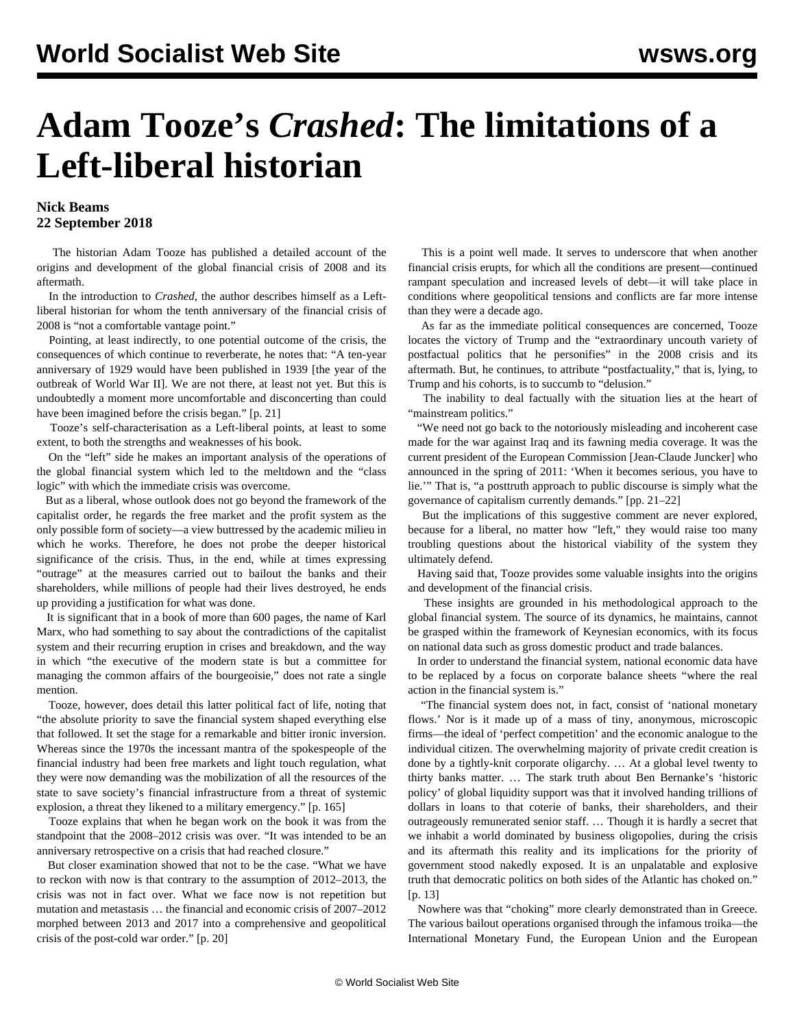## **Adam Tooze's** *Crashed***: The limitations of a Left-liberal historian**

## **Nick Beams 22 September 2018**

 The historian Adam Tooze has published a detailed account of the origins and development of the global financial crisis of 2008 and its aftermath.

 In the introduction to *Crashed*, the author describes himself as a Leftliberal historian for whom the tenth anniversary of the financial crisis of 2008 is "not a comfortable vantage point."

 Pointing, at least indirectly, to one potential outcome of the crisis, the consequences of which continue to reverberate, he notes that: "A ten-year anniversary of 1929 would have been published in 1939 [the year of the outbreak of World War II]. We are not there, at least not yet. But this is undoubtedly a moment more uncomfortable and disconcerting than could have been imagined before the crisis began." [p. 21]

 Tooze's self-characterisation as a Left-liberal points, at least to some extent, to both the strengths and weaknesses of his book.

 On the "left" side he makes an important analysis of the operations of the global financial system which led to the meltdown and the "class logic" with which the immediate crisis was overcome.

 But as a liberal, whose outlook does not go beyond the framework of the capitalist order, he regards the free market and the profit system as the only possible form of society—a view buttressed by the academic milieu in which he works. Therefore, he does not probe the deeper historical significance of the crisis. Thus, in the end, while at times expressing "outrage" at the measures carried out to bailout the banks and their shareholders, while millions of people had their lives destroyed, he ends up providing a justification for what was done.

 It is significant that in a book of more than 600 pages, the name of Karl Marx, who had something to say about the contradictions of the capitalist system and their recurring eruption in crises and breakdown, and the way in which "the executive of the modern state is but a committee for managing the common affairs of the bourgeoisie," does not rate a single mention.

 Tooze, however, does detail this latter political fact of life, noting that "the absolute priority to save the financial system shaped everything else that followed. It set the stage for a remarkable and bitter ironic inversion. Whereas since the 1970s the incessant mantra of the spokespeople of the financial industry had been free markets and light touch regulation, what they were now demanding was the mobilization of all the resources of the state to save society's financial infrastructure from a threat of systemic explosion, a threat they likened to a military emergency." [p. 165]

 Tooze explains that when he began work on the book it was from the standpoint that the 2008–2012 crisis was over. "It was intended to be an anniversary retrospective on a crisis that had reached closure."

 But closer examination showed that not to be the case. "What we have to reckon with now is that contrary to the assumption of 2012–2013, the crisis was not in fact over. What we face now is not repetition but mutation and metastasis … the financial and economic crisis of 2007–2012 morphed between 2013 and 2017 into a comprehensive and geopolitical crisis of the post-cold war order." [p. 20]

 This is a point well made. It serves to underscore that when another financial crisis erupts, for which all the conditions are present—continued rampant speculation and increased levels of debt—it will take place in conditions where geopolitical tensions and conflicts are far more intense than they were a decade ago.

 As far as the immediate political consequences are concerned, Tooze locates the victory of Trump and the "extraordinary uncouth variety of postfactual politics that he personifies" in the 2008 crisis and its aftermath. But, he continues, to attribute "postfactuality," that is, lying, to Trump and his cohorts, is to succumb to "delusion."

 The inability to deal factually with the situation lies at the heart of "mainstream politics."

 "We need not go back to the notoriously misleading and incoherent case made for the war against Iraq and its fawning media coverage. It was the current president of the European Commission [Jean-Claude Juncker] who announced in the spring of 2011: 'When it becomes serious, you have to lie.'" That is, "a posttruth approach to public discourse is simply what the governance of capitalism currently demands." [pp. 21–22]

 But the implications of this suggestive comment are never explored, because for a liberal, no matter how "left," they would raise too many troubling questions about the historical viability of the system they ultimately defend.

 Having said that, Tooze provides some valuable insights into the origins and development of the financial crisis.

 These insights are grounded in his methodological approach to the global financial system. The source of its dynamics, he maintains, cannot be grasped within the framework of Keynesian economics, with its focus on national data such as gross domestic product and trade balances.

 In order to understand the financial system, national economic data have to be replaced by a focus on corporate balance sheets "where the real action in the financial system is."

 "The financial system does not, in fact, consist of 'national monetary flows.' Nor is it made up of a mass of tiny, anonymous, microscopic firms—the ideal of 'perfect competition' and the economic analogue to the individual citizen. The overwhelming majority of private credit creation is done by a tightly-knit corporate oligarchy. … At a global level twenty to thirty banks matter. … The stark truth about Ben Bernanke's 'historic policy' of global liquidity support was that it involved handing trillions of dollars in loans to that coterie of banks, their shareholders, and their outrageously remunerated senior staff. … Though it is hardly a secret that we inhabit a world dominated by business oligopolies, during the crisis and its aftermath this reality and its implications for the priority of government stood nakedly exposed. It is an unpalatable and explosive truth that democratic politics on both sides of the Atlantic has choked on." [p. 13]

 Nowhere was that "choking" more clearly demonstrated than in Greece. The various bailout operations organised through the infamous troika—the International Monetary Fund, the European Union and the European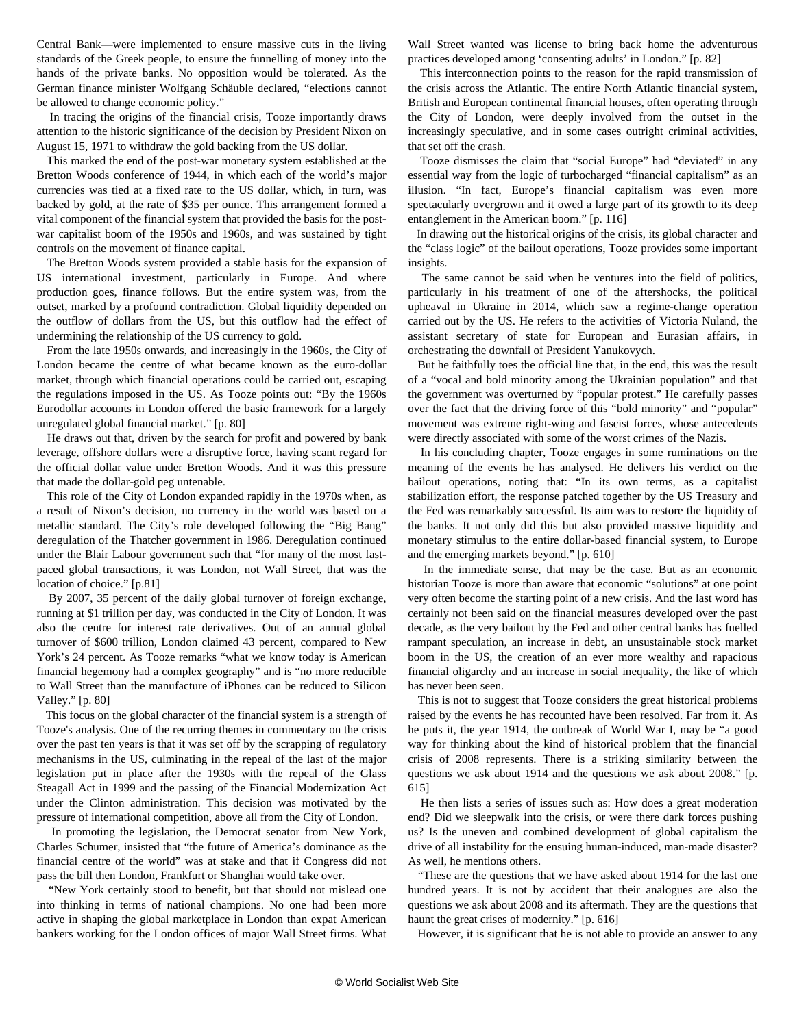Central Bank—were implemented to ensure massive cuts in the living standards of the Greek people, to ensure the funnelling of money into the hands of the private banks. No opposition would be tolerated. As the German finance minister Wolfgang Schäuble declared, "elections cannot be allowed to change economic policy."

 In tracing the origins of the financial crisis, Tooze importantly draws attention to the historic significance of the decision by President Nixon on August 15, 1971 to withdraw the gold backing from the US dollar.

 This marked the end of the post-war monetary system established at the Bretton Woods conference of 1944, in which each of the world's major currencies was tied at a fixed rate to the US dollar, which, in turn, was backed by gold, at the rate of \$35 per ounce. This arrangement formed a vital component of the financial system that provided the basis for the postwar capitalist boom of the 1950s and 1960s, and was sustained by tight controls on the movement of finance capital.

 The Bretton Woods system provided a stable basis for the expansion of US international investment, particularly in Europe. And where production goes, finance follows. But the entire system was, from the outset, marked by a profound contradiction. Global liquidity depended on the outflow of dollars from the US, but this outflow had the effect of undermining the relationship of the US currency to gold.

 From the late 1950s onwards, and increasingly in the 1960s, the City of London became the centre of what became known as the euro-dollar market, through which financial operations could be carried out, escaping the regulations imposed in the US. As Tooze points out: "By the 1960s Eurodollar accounts in London offered the basic framework for a largely unregulated global financial market." [p. 80]

 He draws out that, driven by the search for profit and powered by bank leverage, offshore dollars were a disruptive force, having scant regard for the official dollar value under Bretton Woods. And it was this pressure that made the dollar-gold peg untenable.

 This role of the City of London expanded rapidly in the 1970s when, as a result of Nixon's decision, no currency in the world was based on a metallic standard. The City's role developed following the "Big Bang" deregulation of the Thatcher government in 1986. Deregulation continued under the Blair Labour government such that "for many of the most fastpaced global transactions, it was London, not Wall Street, that was the location of choice." [p.81]

 By 2007, 35 percent of the daily global turnover of foreign exchange, running at \$1 trillion per day, was conducted in the City of London. It was also the centre for interest rate derivatives. Out of an annual global turnover of \$600 trillion, London claimed 43 percent, compared to New York's 24 percent. As Tooze remarks "what we know today is American financial hegemony had a complex geography" and is "no more reducible to Wall Street than the manufacture of iPhones can be reduced to Silicon Valley." [p. 80]

 This focus on the global character of the financial system is a strength of Tooze's analysis. One of the recurring themes in commentary on the crisis over the past ten years is that it was set off by the scrapping of regulatory mechanisms in the US, culminating in the repeal of the last of the major legislation put in place after the 1930s with the repeal of the Glass Steagall Act in 1999 and the passing of the Financial Modernization Act under the Clinton administration. This decision was motivated by the pressure of international competition, above all from the City of London.

 In promoting the legislation, the Democrat senator from New York, Charles Schumer, insisted that "the future of America's dominance as the financial centre of the world" was at stake and that if Congress did not pass the bill then London, Frankfurt or Shanghai would take over.

 "New York certainly stood to benefit, but that should not mislead one into thinking in terms of national champions. No one had been more active in shaping the global marketplace in London than expat American bankers working for the London offices of major Wall Street firms. What Wall Street wanted was license to bring back home the adventurous practices developed among 'consenting adults' in London." [p. 82]

 This interconnection points to the reason for the rapid transmission of the crisis across the Atlantic. The entire North Atlantic financial system, British and European continental financial houses, often operating through the City of London, were deeply involved from the outset in the increasingly speculative, and in some cases outright criminal activities, that set off the crash.

 Tooze dismisses the claim that "social Europe" had "deviated" in any essential way from the logic of turbocharged "financial capitalism" as an illusion. "In fact, Europe's financial capitalism was even more spectacularly overgrown and it owed a large part of its growth to its deep entanglement in the American boom." [p. 116]

 In drawing out the historical origins of the crisis, its global character and the "class logic" of the bailout operations, Tooze provides some important insights.

 The same cannot be said when he ventures into the field of politics, particularly in his treatment of one of the aftershocks, the political upheaval in Ukraine in 2014, which saw a regime-change operation carried out by the US. He refers to the activities of Victoria Nuland, the assistant secretary of state for European and Eurasian affairs, in orchestrating the downfall of President Yanukovych.

 But he faithfully toes the official line that, in the end, this was the result of a "vocal and bold minority among the Ukrainian population" and that the government was overturned by "popular protest." He carefully passes over the fact that the driving force of this "bold minority" and "popular" movement was extreme right-wing and fascist forces, whose antecedents were directly associated with some of the worst crimes of the Nazis.

 In his concluding chapter, Tooze engages in some ruminations on the meaning of the events he has analysed. He delivers his verdict on the bailout operations, noting that: "In its own terms, as a capitalist stabilization effort, the response patched together by the US Treasury and the Fed was remarkably successful. Its aim was to restore the liquidity of the banks. It not only did this but also provided massive liquidity and monetary stimulus to the entire dollar-based financial system, to Europe and the emerging markets beyond." [p. 610]

 In the immediate sense, that may be the case. But as an economic historian Tooze is more than aware that economic "solutions" at one point very often become the starting point of a new crisis. And the last word has certainly not been said on the financial measures developed over the past decade, as the very bailout by the Fed and other central banks has fuelled rampant speculation, an increase in debt, an unsustainable stock market boom in the US, the creation of an ever more wealthy and rapacious financial oligarchy and an increase in social inequality, the like of which has never been seen.

 This is not to suggest that Tooze considers the great historical problems raised by the events he has recounted have been resolved. Far from it. As he puts it, the year 1914, the outbreak of World War I, may be "a good way for thinking about the kind of historical problem that the financial crisis of 2008 represents. There is a striking similarity between the questions we ask about 1914 and the questions we ask about 2008." [p. 615]

 He then lists a series of issues such as: How does a great moderation end? Did we sleepwalk into the crisis, or were there dark forces pushing us? Is the uneven and combined development of global capitalism the drive of all instability for the ensuing human-induced, man-made disaster? As well, he mentions others.

 "These are the questions that we have asked about 1914 for the last one hundred years. It is not by accident that their analogues are also the questions we ask about 2008 and its aftermath. They are the questions that haunt the great crises of modernity." [p. 616]

However, it is significant that he is not able to provide an answer to any